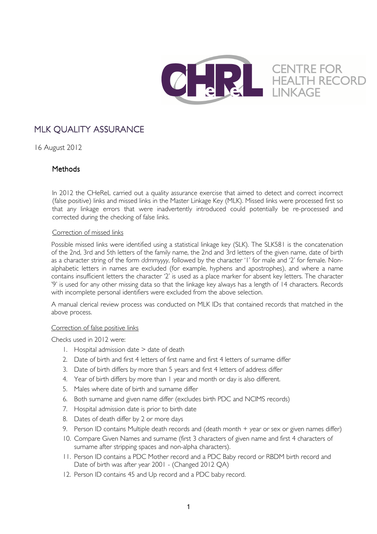

# MLK OUALITY ASSURANCE

16 August 2012

## **Methods**

In 2012 the CHeReL carried out a quality assurance exercise that aimed to detect and correct incorrect (false positive) links and missed links in the Master Linkage Key (MLK). Missed links were processed first so that any linkage errors that were inadvertently introduced could potentially be re-processed and corrected during the checking of false links.

### Correction of missed links

Possible missed links were identified using a statistical linkage key (SLK). The SLK581 is the concatenation of the 2nd, 3rd and 5th letters of the family name, the 2nd and 3rd letters of the given name, date of birth as a character string of the form *ddmmyyyy*, followed by the character '1' for male and '2' for female. Nonalphabetic letters in names are excluded (for example, hyphens and apostrophes), and where a name contains insufficient letters the character '2' is used as a place marker for absent key letters. The character '9' is used for any other missing data so that the linkage key always has a length of 14 characters. Records with incomplete personal identifiers were excluded from the above selection.

A manual clerical review process was conducted on MLK IDs that contained records that matched in the above process.

#### Correction of false positive links

Checks used in 2012 were:

- 1. Hospital admission date > date of death
- 2. Date of birth and first 4 letters of first name and first 4 letters of surname differ
- 3. Date of birth differs by more than 5 years and first 4 letters of address differ
- 4. Year of birth differs by more than 1 year and month or day is also different.
- 5. Males where date of birth and surname differ
- 6. Both surname and given name differ (excludes birth PDC and NCIMS records)
- 7. Hospital admission date is prior to birth date
- 8. Dates of death differ by 2 or more days
- 9. Person ID contains Multiple death records and (death month + year or sex or given names differ)
- 10. Compare Given Names and surname (first 3 characters of given name and first 4 characters of surname after stripping spaces and non-alpha characters).
- 11. Person ID contains a PDC Mother record and a PDC Baby record or RBDM birth record and Date of birth was after year 2001 - (Changed 2012 QA)
- 12. Person ID contains 45 and Up record and a PDC baby record.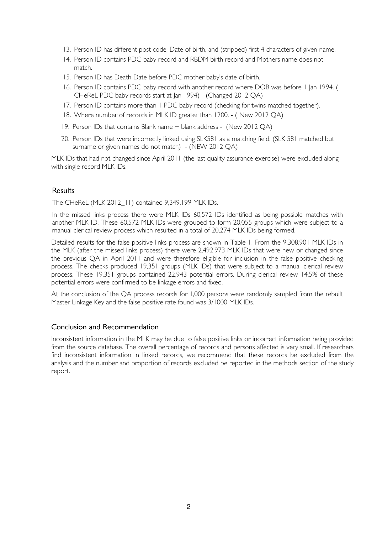- 13. Person ID has different post code, Date of birth, and (stripped) first 4 characters of given name.
- 14. Person ID contains PDC baby record and RBDM birth record and Mothers name does not match.
- 15. Person ID has Death Date before PDC mother baby's date of birth.
- 16. Person ID contains PDC baby record with another record where DOB was before 1 Jan 1994. ( CHeReL PDC baby records start at Jan 1994) - (Changed 2012 QA)
- 17. Person ID contains more than 1 PDC baby record (checking for twins matched together).
- 18. Where number of records in MLK ID greater than 1200. ( New 2012 QA)
- 19. Person IDs that contains Blank name + blank address (New 2012 QA)
- 20. Person IDs that were incorrectly linked using SLK581 as a matching field. (SLK 581 matched but surname or given names do not match) - (NEW 2012 QA)

MLK IDs that had not changed since April 2011 (the last quality assurance exercise) were excluded along with single record MLK IDs.

#### **Results**

The CHeReL (MLK 2012\_11) contained 9,349,199 MLK IDs.

In the missed links process there were MLK IDs 60,572 IDs identified as being possible matches with another MLK ID. These 60,572 MLK IDs were grouped to form 20,055 groups which were subject to a manual clerical review process which resulted in a total of 20,274 MLK IDs being formed.

Detailed results for the false positive links process are shown in Table 1. From the 9,308,901 MLK IDs in the MLK (after the missed links process) there were 2,492,973 MLK IDs that were new or changed since the previous QA in April 2011 and were therefore eligible for inclusion in the false positive checking process. The checks produced 19,351 groups (MLK IDs) that were subject to a manual clerical review process. These 19,351 groups contained 22,943 potential errors. During clerical review 14.5% of these potential errors were confirmed to be linkage errors and fixed.

At the conclusion of the QA process records for 1,000 persons were randomly sampled from the rebuilt Master Linkage Key and the false positive rate found was 3/1000 MLK IDs.

#### Conclusion and Recommendation

Inconsistent information in the MLK may be due to false positive links or incorrect information being provided from the source database. The overall percentage of records and persons affected is very small. If researchers find inconsistent information in linked records, we recommend that these records be excluded from the analysis and the number and proportion of records excluded be reported in the methods section of the study report.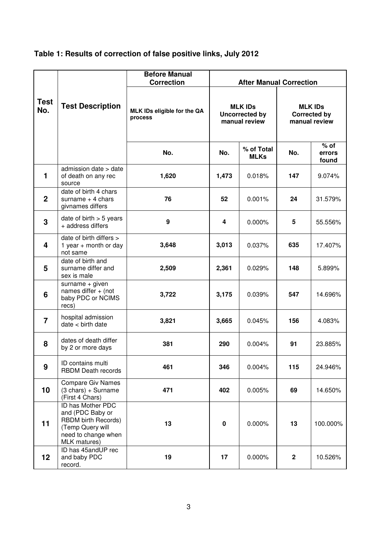| Table 1: Results of correction of false positive links, July 2012 |  |  |
|-------------------------------------------------------------------|--|--|
|                                                                   |  |  |

|                    |                                                                                                                         | <b>Before Manual</b><br><b>Correction</b> | <b>After Manual Correction</b>                           |                           |                                                        |                           |
|--------------------|-------------------------------------------------------------------------------------------------------------------------|-------------------------------------------|----------------------------------------------------------|---------------------------|--------------------------------------------------------|---------------------------|
| <b>Test</b><br>No. | <b>Test Description</b>                                                                                                 | MLK IDs eligible for the QA<br>process    | <b>MLK IDS</b><br><b>Uncorrected by</b><br>manual review |                           | <b>MLK IDs</b><br><b>Corrected by</b><br>manual review |                           |
|                    |                                                                                                                         | No.                                       | No.                                                      | % of Total<br><b>MLKs</b> | No.                                                    | $%$ of<br>errors<br>found |
| 1                  | admission date > date<br>of death on any rec<br>source                                                                  | 1,620                                     | 1,473                                                    | 0.018%                    | 147                                                    | 9.074%                    |
| $\overline{2}$     | date of birth 4 chars<br>surname $+4$ chars<br>givnames differs                                                         | 76                                        | 52                                                       | 0.001%                    | 24                                                     | 31.579%                   |
| 3                  | date of birth $> 5$ years<br>+ address differs                                                                          | 9                                         | 4                                                        | 0.000%                    | 5                                                      | 55.556%                   |
| 4                  | date of birth differs ><br>1 year $+$ month or day<br>not same                                                          | 3,648                                     | 3,013                                                    | 0.037%                    | 635                                                    | 17.407%                   |
| 5                  | date of birth and<br>surname differ and<br>sex is male                                                                  | 2,509                                     | 2,361                                                    | 0.029%                    | 148                                                    | 5.899%                    |
| 6                  | surname $+$ given<br>names differ + (not<br>baby PDC or NCIMS<br>recs)                                                  | 3,722                                     | 3,175                                                    | 0.039%                    | 547                                                    | 14.696%                   |
| $\overline{7}$     | hospital admission<br>$date$ < birth date                                                                               | 3,821                                     | 3,665                                                    | 0.045%                    | 156                                                    | 4.083%                    |
| 8                  | dates of death differ<br>by 2 or more days                                                                              | 381                                       | 290                                                      | 0.004%                    | 91                                                     | 23.885%                   |
| 9                  | ID contains multi<br><b>RBDM Death records</b>                                                                          | 461                                       | 346                                                      | 0.004%                    | 115                                                    | 24.946%                   |
| 10                 | <b>Compare Giv Names</b><br>$(3 \text{ chars}) + \text{Surname}$<br>(First 4 Chars)                                     | 471                                       | 402                                                      | 0.005%                    | 69                                                     | 14.650%                   |
| 11                 | ID has Mother PDC<br>and (PDC Baby or<br>RBDM birth Records)<br>(Temp Query will<br>need to change when<br>MLK matures) | 13                                        | $\pmb{0}$                                                | 0.000%                    | 13                                                     | 100.000%                  |
| 12                 | ID has 45 and UP rec<br>and baby PDC<br>record.                                                                         | 19                                        | 17                                                       | 0.000%                    | $\mathbf{2}$                                           | 10.526%                   |